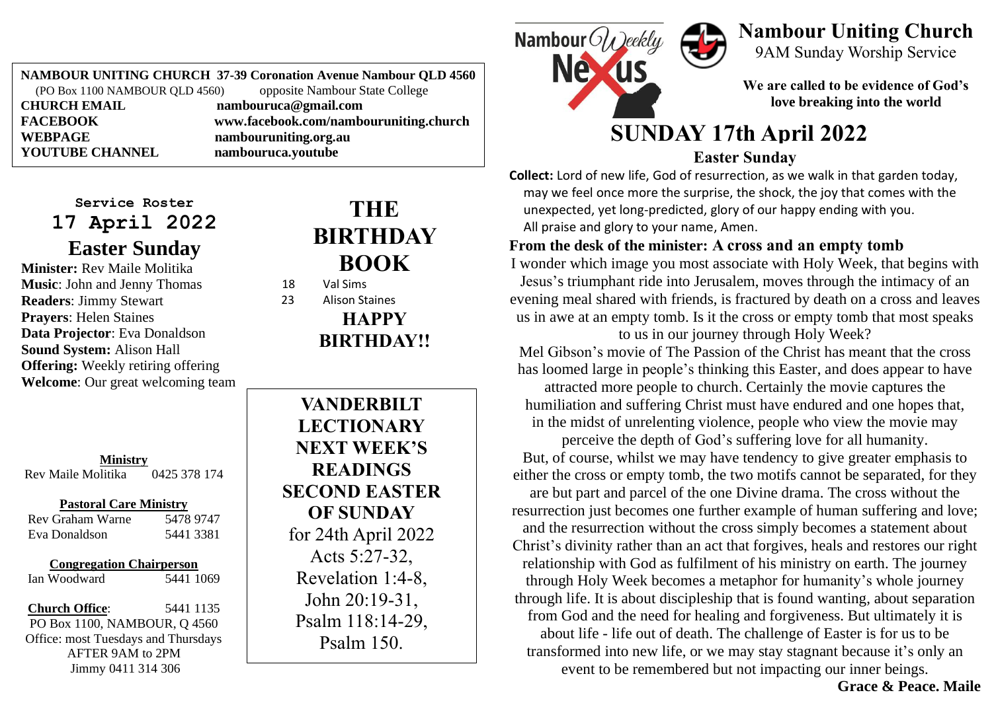**NAMBOUR UNITING CHURCH 37-39 Coronation Avenue Nambour QLD 4560**<br>(PO Box 1100 NAMBOUR OLD 4560) opposite Nambour State College  $(PO Box 1100 NAMBOUR OLD 4560)$ **CHURCH EMAIL nambouruca@gmail.com FACEBOOK www.facebook.com/nambouruniting.church WEBPAGE nambouruniting.org.au**<br> **YOUTUBE CHANNEL nambouruca.voutube YOUTUBE CHANNEL nambouruca.youtube**

#### **Service Roster 17 April 2022 Easter Sunday**

**Minister:** Rev Maile Molitika **Music**: John and Jenny Thomas **Readers**: Jimmy Stewart **Prayers**: Helen Staines **Data Projector**: Eva Donaldson **Sound System:** Alison Hall **Offering:** Weekly retiring offering **Welcome**: Our great welcoming team

**Ministry** Rev Maile Molitika 0425 378 174

### **Pastoral Care Ministry**<br>Fraham Warne 5478 9747

Rev Graham Warne Eva Donaldson 5441 3381

**Congregation Chairperson**

Ian Woodward 5441 1069

**Church Office**: 5441 1135 PO Box 1100, NAMBOUR, Q 4560 Office: most Tuesdays and Thursdays AFTER 9AM to 2PM Jimmy 0411 314 306

## **THE BIRTHDAY BOOK**

18 Val Sims

23 Alison Staines **HAPPY BIRTHDAY!!**

**VANDERBILT LECTIONARY NEXT WEEK'S READINGS SECOND EASTER OF SUNDAY** for 24th April 2022 Acts 5:27-32, Revelation 1:4-8, John 20:19-31, Psalm 118:14-29, Psalm 150.



# **Nambour Uniting Church**

9AM Sunday Worship Service

**We are called to be evidence of God's love breaking into the world**

## **SUNDAY 17th April 2022**

#### **Easter Sunday**

**Collect:** Lord of new life, God of resurrection, as we walk in that garden today, may we feel once more the surprise, the shock, the joy that comes with the unexpected, yet long-predicted, glory of our happy ending with you. All praise and glory to your name, Amen.

#### **From the desk of the minister: A cross and an empty tomb**

I wonder which image you most associate with Holy Week, that begins with Jesus's triumphant ride into Jerusalem, moves through the intimacy of an evening meal shared with friends, is fractured by death on a cross and leaves us in awe at an empty tomb. Is it the cross or empty tomb that most speaks to us in our journey through Holy Week?

Mel Gibson's movie of The Passion of the Christ has meant that the cross has loomed large in people's thinking this Easter, and does appear to have

attracted more people to church. Certainly the movie captures the humiliation and suffering Christ must have endured and one hopes that, in the midst of unrelenting violence, people who view the movie may perceive the depth of God's suffering love for all humanity.

But, of course, whilst we may have tendency to give greater emphasis to either the cross or empty tomb, the two motifs cannot be separated, for they are but part and parcel of the one Divine drama. The cross without the resurrection just becomes one further example of human suffering and love; and the resurrection without the cross simply becomes a statement about Christ's divinity rather than an act that forgives, heals and restores our right relationship with God as fulfilment of his ministry on earth. The journey through Holy Week becomes a metaphor for humanity's whole journey through life. It is about discipleship that is found wanting, about separation from God and the need for healing and forgiveness. But ultimately it is about life - life out of death. The challenge of Easter is for us to be transformed into new life, or we may stay stagnant because it's only an event to be remembered but not impacting our inner beings.

 **Grace & Peace. Maile**